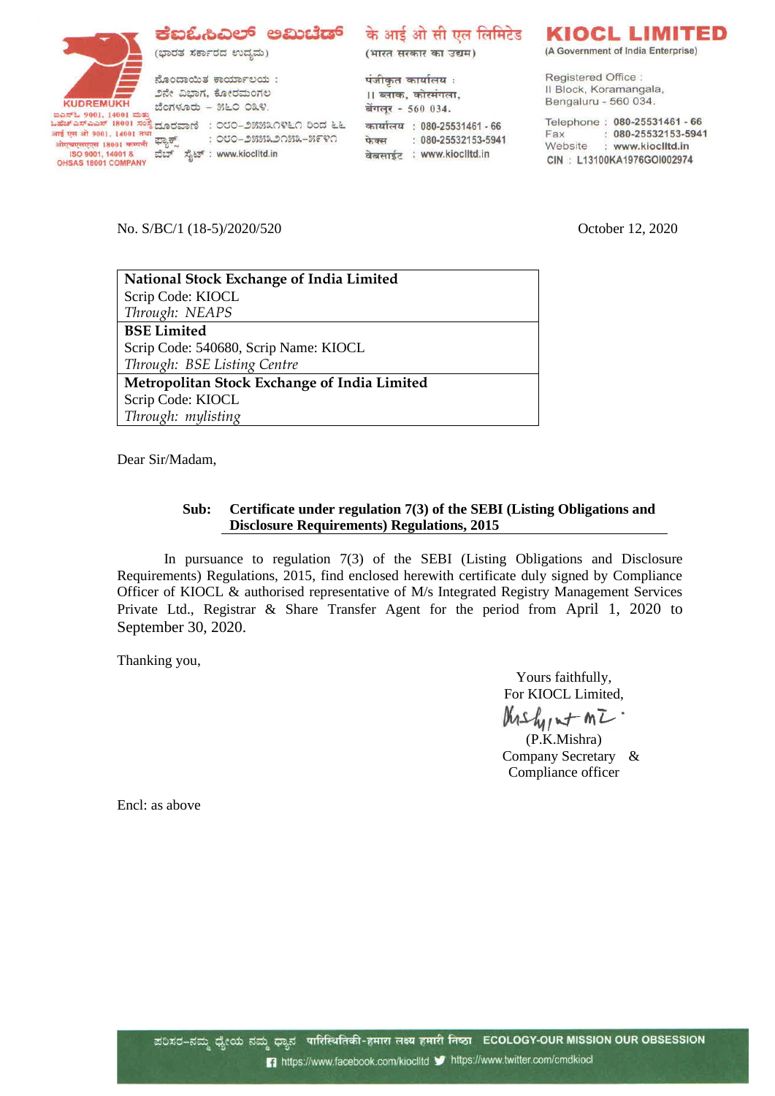(ಭಾರತ ಸರ್ಕಾರದ ಉದ್ಯಮ)

ನೊಂದಾಯಿತ ಕಾರ್ಯಾಲಯ: ೨ನೇ ವಿಭಾಗ, ಕೋರಮಂಗಲ ಬೆಂಗಳೂರು - ೫೬೦ ೦೩೪.

आई एस औ 9001, 14001 तथा आई एस ओ 9001, 14001 तया<br>ओएचएसएएस 18001 कम्पनी <sup>द्वाउ</sup>ुर्णै<br>- ISO 9001, 14001 & - डौटा<br>OHSAS 18001 COMPANY

**KUDREMUKH** 

ಗಿರುಗಲಾಗಿರಿಗೆ ಬೆಂಗಳೂರು – ೫೬೦ ೦೩೪.<br>ಬಹೆಚ್ಎಸ್ಎಎಸ್ 18001 ಸಂಸ್ಥೆ ದೂರವಾಣಿ : ೦೮೦–೨೫೫೩೧೪೬೧ ರಿಂದ ೬೬<br>ಏಕೆಟ್ಎಸ್ಎಎಸ್ 18001 ಸಂಸ್ಥೆ ದೂರವಾಣಿ : ೦೮೦–೨೫೫೩೧೪೬೧ ರಿಂದ ೬೬ : ೦೮೦–೨೫೫೩೨೧೫೩–೫೯೪೧ <del>showonova</del> 18001 <del>ಕೂಡನ</del>ೇ ಫ್ಯಾಕ್ಸ್ ರಾಖಲು ಮಾಡಿಸಿದಿರುವ ISO 9001, 14001 & ವೆಬ್ ಸೈಟ್ : www.kioclitd.in<br>ISO 9001, 14001 & ವೆಬ್ ಸೈಟ್ : www.kioclitd.in

## **ಕೆಐಓಿವಿಲ್ ಅಮಿಟೆಡ್** के आई ओ सी एल लिमिटेड

(भारत सरकार का उद्यम)

पंजीकृत कार्यालय: ।। ब्लाक, कोरमंगला, बेंगलूर - 560 034. कार्यालय : 080-25531461 - 66 फेक्स : 080-25532153-5941 वेबसाईट : www.kioclitd.in

## KIOCL LIMITED

(A Government of India Enterprise)

Registered Office: Il Block, Koramangala, Bengaluru - 560 034.

Telephone: 080-25531461 - 66 Fax: : 080-25532153-5941<br>Website : www.kioclitd.in CIN: L13100KA1976GOI002974

No. S/BC/1 (18-5)/2020/520 October 12, 2020

| National Stock Exchange of India Limited     |
|----------------------------------------------|
| Scrip Code: KIOCL                            |
| Through: NEAPS                               |
| <b>BSE Limited</b>                           |
| Scrip Code: 540680, Scrip Name: KIOCL        |
| Through: BSE Listing Centre                  |
| Metropolitan Stock Exchange of India Limited |
| Scrip Code: KIOCL                            |
| Through: mylisting                           |

Dear Sir/Madam,

## **Sub: Certificate under regulation 7(3) of the SEBI (Listing Obligations and Disclosure Requirements) Regulations, 2015**

In pursuance to regulation 7(3) of the SEBI (Listing Obligations and Disclosure Requirements) Regulations, 2015, find enclosed herewith certificate duly signed by Compliance Officer of KIOCL & authorised representative of M/s Integrated Registry Management Services Private Ltd., Registrar & Share Transfer Agent for the period from April 1, 2020 to September 30, 2020.

Thanking you,

Yours faithfully, For KIOCL Limited,  $thshintm\overline{L}$ 

(P.K.Mishra) Company Secretary & Compliance officer

Encl: as above